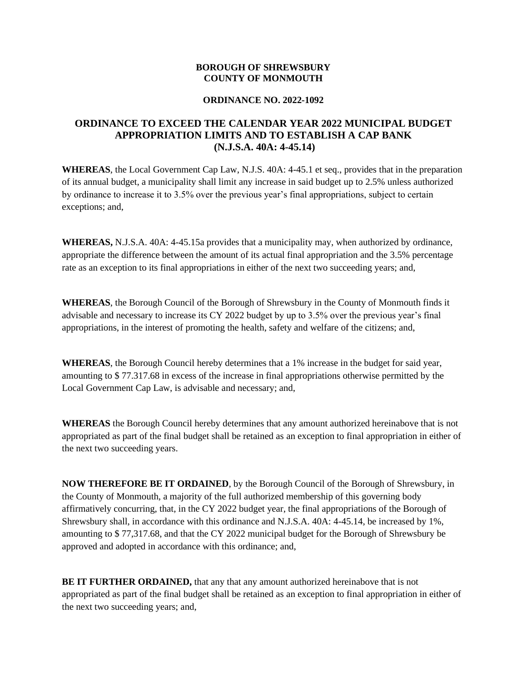## **BOROUGH OF SHREWSBURY COUNTY OF MONMOUTH**

## **ORDINANCE NO. 2022-1092**

## **ORDINANCE TO EXCEED THE CALENDAR YEAR 2022 MUNICIPAL BUDGET APPROPRIATION LIMITS AND TO ESTABLISH A CAP BANK (N.J.S.A. 40A: 4-45.14)**

**WHEREAS**, the Local Government Cap Law, N.J.S. 40A: 4-45.1 et seq., provides that in the preparation of its annual budget, a municipality shall limit any increase in said budget up to 2.5% unless authorized by ordinance to increase it to 3.5% over the previous year's final appropriations, subject to certain exceptions; and,

**WHEREAS,** N.J.S.A. 40A: 4-45.15a provides that a municipality may, when authorized by ordinance, appropriate the difference between the amount of its actual final appropriation and the 3.5% percentage rate as an exception to its final appropriations in either of the next two succeeding years; and,

**WHEREAS**, the Borough Council of the Borough of Shrewsbury in the County of Monmouth finds it advisable and necessary to increase its CY 2022 budget by up to 3.5% over the previous year's final appropriations, in the interest of promoting the health, safety and welfare of the citizens; and,

**WHEREAS**, the Borough Council hereby determines that a 1% increase in the budget for said year, amounting to \$ 77.317.68 in excess of the increase in final appropriations otherwise permitted by the Local Government Cap Law, is advisable and necessary; and,

**WHEREAS** the Borough Council hereby determines that any amount authorized hereinabove that is not appropriated as part of the final budget shall be retained as an exception to final appropriation in either of the next two succeeding years.

**NOW THEREFORE BE IT ORDAINED**, by the Borough Council of the Borough of Shrewsbury, in the County of Monmouth, a majority of the full authorized membership of this governing body affirmatively concurring, that, in the CY 2022 budget year, the final appropriations of the Borough of Shrewsbury shall, in accordance with this ordinance and N.J.S.A. 40A: 4-45.14, be increased by 1%, amounting to \$ 77,317.68, and that the CY 2022 municipal budget for the Borough of Shrewsbury be approved and adopted in accordance with this ordinance; and,

**BE IT FURTHER ORDAINED,** that any that any amount authorized hereinabove that is not appropriated as part of the final budget shall be retained as an exception to final appropriation in either of the next two succeeding years; and,